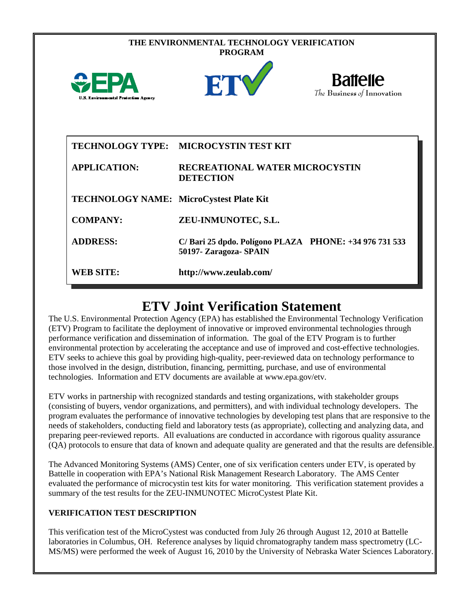| THE ENVIRONMENTAL TECHNOLOGY VERIFICATION<br><b>PROGRAM</b> |                                                                                 |                                               |  |
|-------------------------------------------------------------|---------------------------------------------------------------------------------|-----------------------------------------------|--|
| $\bigoplus$ FPA<br>U.S. Environmental Protection Agency     | ETV                                                                             | <b>Battelle</b><br>The Business of Innovation |  |
|                                                             | TECHNOLOGY TYPE: MICROCYSTIN TEST KIT                                           |                                               |  |
| <b>APPLICATION:</b>                                         | <b>RECREATIONAL WATER MICROCYSTIN</b><br><b>DETECTION</b>                       |                                               |  |
| TECHNOLOGY NAME: MicroCystest Plate Kit                     |                                                                                 |                                               |  |
| <b>COMPANY:</b>                                             | ZEU-INMUNOTEC, S.L.                                                             |                                               |  |
| <b>ADDRESS:</b>                                             | C/Bari 25 dpdo. Polígono PLAZA PHONE: +34 976 731 533<br>50197- Zaragoza- SPAIN |                                               |  |
| <b>WEB SITE:</b>                                            | http://www.zeulab.com/                                                          |                                               |  |

# **ETV Joint Verification Statement**

The U.S. Environmental Protection Agency (EPA) has established the Environmental Technology Verification (ETV) Program to facilitate the deployment of innovative or improved environmental technologies through performance verification and dissemination of information. The goal of the ETV Program is to further environmental protection by accelerating the acceptance and use of improved and cost-effective technologies. ETV seeks to achieve this goal by providing high-quality, peer-reviewed data on technology performance to those involved in the design, distribution, financing, permitting, purchase, and use of environmental technologies. Information and ETV documents are available at www.epa.gov/etv.

ETV works in partnership with recognized standards and testing organizations, with stakeholder groups (consisting of buyers, vendor organizations, and permitters), and with individual technology developers. The program evaluates the performance of innovative technologies by developing test plans that are responsive to the needs of stakeholders, conducting field and laboratory tests (as appropriate), collecting and analyzing data, and preparing peer-reviewed reports. All evaluations are conducted in accordance with rigorous quality assurance (QA) protocols to ensure that data of known and adequate quality are generated and that the results are defensible.

The Advanced Monitoring Systems (AMS) Center, one of six verification centers under ETV, is operated by Battelle in cooperation with EPA's National Risk Management Research Laboratory. The AMS Center evaluated the performance of microcystin test kits for water monitoring. This verification statement provides a summary of the test results for the ZEU-INMUNOTEC MicroCystest Plate Kit.

## **VERIFICATION TEST DESCRIPTION**

This verification test of the MicroCystest was conducted from July 26 through August 12, 2010 at Battelle laboratories in Columbus, OH. Reference analyses by liquid chromatography tandem mass spectrometry (LC-MS/MS) were performed the week of August 16, 2010 by the University of Nebraska Water Sciences Laboratory.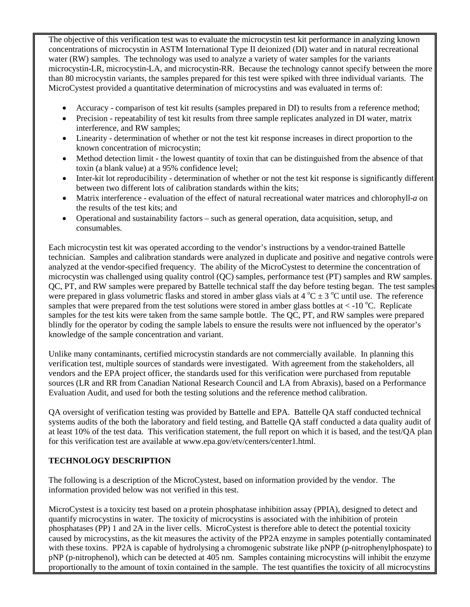The objective of this verification test was to evaluate the microcystin test kit performance in analyzing known concentrations of microcystin in ASTM International Type II deionized (DI) water and in natural recreational water (RW) samples. The technology was used to analyze a variety of water samples for the variants microcystin-LR, microcystin-LA, and microcystin-RR. Because the technology cannot specify between the more than 80 microcystin variants, the samples prepared for this test were spiked with three individual variants. The MicroCystest provided a quantitative determination of microcystins and was evaluated in terms of:

- Accuracy comparison of test kit results (samples prepared in DI) to results from a reference method;
- Precision repeatability of test kit results from three sample replicates analyzed in DI water, matrix interference, and RW samples;
- Linearity determination of whether or not the test kit response increases in direct proportion to the known concentration of microcystin;
- Method detection limit the lowest quantity of toxin that can be distinguished from the absence of that toxin (a blank value) at a 95% confidence level;
- Inter-kit lot reproducibility determination of whether or not the test kit response is significantly different between two different lots of calibration standards within the kits;
- Matrix interference evaluation of the effect of natural recreational water matrices and chlorophyll-*a* on the results of the test kits; and
- Operational and sustainability factors such as general operation, data acquisition, setup, and consumables.

Each microcystin test kit was operated according to the vendor's instructions by a vendor-trained Battelle technician. Samples and calibration standards were analyzed in duplicate and positive and negative controls were analyzed at the vendor-specified frequency. The ability of the MicroCystest to determine the concentration of microcystin was challenged using quality control (QC) samples, performance test (PT) samples and RW samples. QC, PT, and RW samples were prepared by Battelle technical staff the day before testing began. The test samples were prepared in glass volumetric flasks and stored in amber glass vials at  $4^{\circ}C \pm 3^{\circ}C$  until use. The reference samples that were prepared from the test solutions were stored in amber glass bottles at  $<$  -10 °C. Replicate samples for the test kits were taken from the same sample bottle. The QC, PT, and RW samples were prepared blindly for the operator by coding the sample labels to ensure the results were not influenced by the operator's knowledge of the sample concentration and variant.

Unlike many contaminants, certified microcystin standards are not commercially available. In planning this verification test, multiple sources of standards were investigated. With agreement from the stakeholders, all vendors and the EPA project officer, the standards used for this verification were purchased from reputable sources (LR and RR from Canadian National Research Council and LA from Abraxis), based on a Performance Evaluation Audit, and used for both the testing solutions and the reference method calibration.

QA oversight of verification testing was provided by Battelle and EPA. Battelle QA staff conducted technical systems audits of the both the laboratory and field testing, and Battelle QA staff conducted a data quality audit of at least 10% of the test data. This verification statement, the full report on which it is based, and the test/QA plan for this verification test are available at www.epa.gov/etv/centers/center1.html.

## **TECHNOLOGY DESCRIPTION**

The following is a description of the MicroCystest, based on information provided by the vendor. The information provided below was not verified in this test.

MicroCystest is a toxicity test based on a protein phosphatase inhibition assay (PPIA), designed to detect and quantify microcystins in water. The toxicity of microcystins is associated with the inhibition of protein phosphatases (PP) 1 and 2A in the liver cells. MicroCystest is therefore able to detect the potential toxicity caused by microcystins, as the kit measures the activity of the PP2A enzyme in samples potentially contaminated with these toxins. PP2A is capable of hydrolysing a chromogenic substrate like pNPP (p-nitrophenylphospate) to pNP (p-nitrophenol), which can be detected at 405 nm. Samples containing microcystins will inhibit the enzyme proportionally to the amount of toxin contained in the sample. The test quantifies the toxicity of all microcystins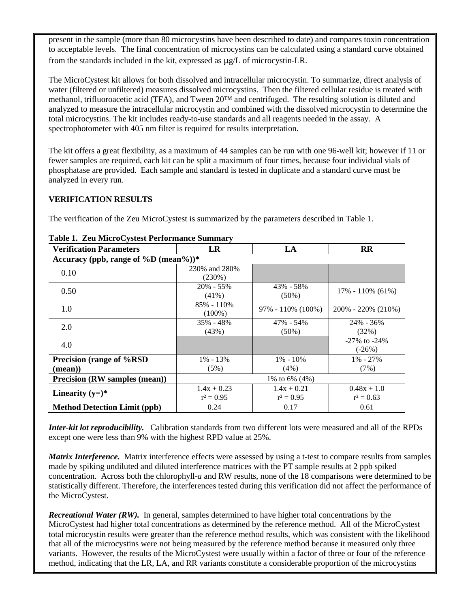present in the sample (more than 80 microcystins have been described to date) and compares toxin concentration to acceptable levels. The final concentration of microcystins can be calculated using a standard curve obtained from the standards included in the kit, expressed as µg/L of microcystin-LR.

The MicroCystest kit allows for both dissolved and intracellular microcystin. To summarize, direct analysis of water (filtered or unfiltered) measures dissolved microcystins. Then the filtered cellular residue is treated with methanol, trifluoroacetic acid (TFA), and Tween 20™ and centrifuged. The resulting solution is diluted and analyzed to measure the intracellular microcystin and combined with the dissolved microcystin to determine the total microcystins. The kit includes ready-to-use standards and all reagents needed in the assay. A spectrophotometer with 405 nm filter is required for results interpretation.

The kit offers a great flexibility, as a maximum of 44 samples can be run with one 96-well kit; however if 11 or fewer samples are required, each kit can be split a maximum of four times, because four individual vials of phosphatase are provided. Each sample and standard is tested in duplicate and a standard curve must be analyzed in every run.

#### **VERIFICATION RESULTS**

The verification of the Zeu MicroCystest is summarized by the parameters described in Table 1.

| <b>Verification Parameters</b>       | <b>LR</b>                     | LA                            | <b>RR</b>                      |  |
|--------------------------------------|-------------------------------|-------------------------------|--------------------------------|--|
| Accuracy (ppb, range of %D (mean%))* |                               |                               |                                |  |
| 0.10                                 | 230% and 280%<br>$(230\%)$    |                               |                                |  |
| 0.50                                 | 20% - 55%<br>$(41\%)$         | 43% - 58%<br>$(50\%)$         | $17\% - 110\%$ (61%)           |  |
| 1.0                                  | $85\% - 110\%$<br>$(100\%)$   | $97\% - 110\%$ (100%)         | $200\% - 220\% (210\%)$        |  |
| 2.0                                  | 35% - 48%<br>(43%)            | 47% - 54%<br>$(50\%)$         | $24\% - 36\%$<br>(32%)         |  |
| 4.0                                  |                               |                               | $-27\%$ to $-24\%$<br>$(-26%)$ |  |
| Precision (range of %RSD)            | $1\% - 13\%$                  | $1\% - 10\%$                  | $1\% - 27\%$                   |  |
| $(\mathbf{mean})$                    | (5%)                          | $(4\%)$                       | (7%)                           |  |
| <b>Precision (RW samples (mean))</b> | 1\% to 6\% $(4\%)$            |                               |                                |  |
| Linearity $(y=)^*$                   | $1.4x + 0.23$<br>$r^2 = 0.95$ | $1.4x + 0.21$<br>$r^2 = 0.95$ | $0.48x + 1.0$<br>$r^2 = 0.63$  |  |
| <b>Method Detection Limit (ppb)</b>  | 0.24                          | 0.17                          | 0.61                           |  |

#### **Table 1. Zeu MicroCystest Performance Summary**

*Inter-kit lot reproducibility.* Calibration standards from two different lots were measured and all of the RPDs except one were less than 9% with the highest RPD value at 25%.

*Matrix Interference.* Matrix interference effects were assessed by using a t-test to compare results from samples made by spiking undiluted and diluted interference matrices with the PT sample results at 2 ppb spiked concentration. Across both the chlorophyll-*a* and RW results, none of the 18 comparisons were determined to be statistically different. Therefore, the interferences tested during this verification did not affect the performance of the MicroCystest.

*Recreational Water (RW).* In general, samples determined to have higher total concentrations by the MicroCystest had higher total concentrations as determined by the reference method. All of the MicroCystest total microcystin results were greater than the reference method results, which was consistent with the likelihood that all of the microcystins were not being measured by the reference method because it measured only three variants. However, the results of the MicroCystest were usually within a factor of three or four of the reference method, indicating that the LR, LA, and RR variants constitute a considerable proportion of the microcystins